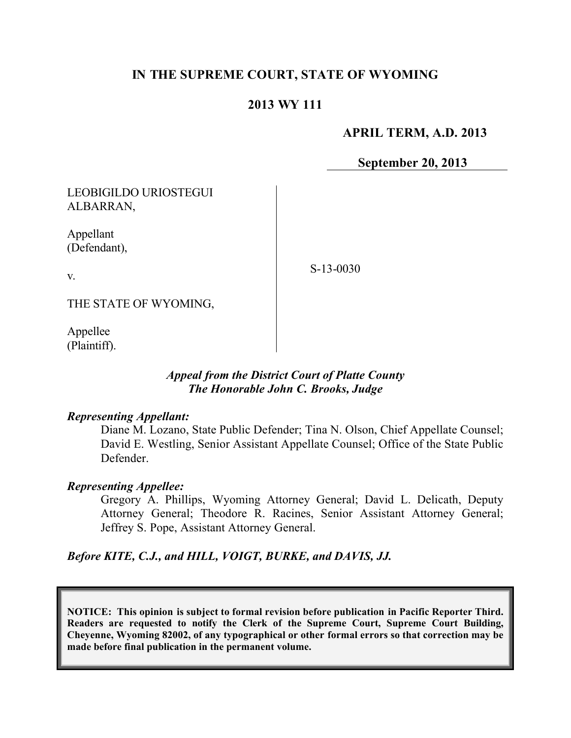# **IN THE SUPREME COURT, STATE OF WYOMING**

## **2013 WY 111**

### **APRIL TERM, A.D. 2013**

**September 20, 2013**

LEOBIGILDO URIOSTEGUI ALBARRAN,

Appellant (Defendant),

v.

S-13-0030

THE STATE OF WYOMING,

Appellee (Plaintiff).

### *Appeal from the District Court of Platte County The Honorable John C. Brooks, Judge*

#### *Representing Appellant:*

Diane M. Lozano, State Public Defender; Tina N. Olson, Chief Appellate Counsel; David E. Westling, Senior Assistant Appellate Counsel; Office of the State Public Defender.

### *Representing Appellee:*

Gregory A. Phillips, Wyoming Attorney General; David L. Delicath, Deputy Attorney General; Theodore R. Racines, Senior Assistant Attorney General; Jeffrey S. Pope, Assistant Attorney General.

*Before KITE, C.J., and HILL, VOIGT, BURKE, and DAVIS, JJ.*

**NOTICE: This opinion is subject to formal revision before publication in Pacific Reporter Third. Readers are requested to notify the Clerk of the Supreme Court, Supreme Court Building, Cheyenne, Wyoming 82002, of any typographical or other formal errors so that correction may be made before final publication in the permanent volume.**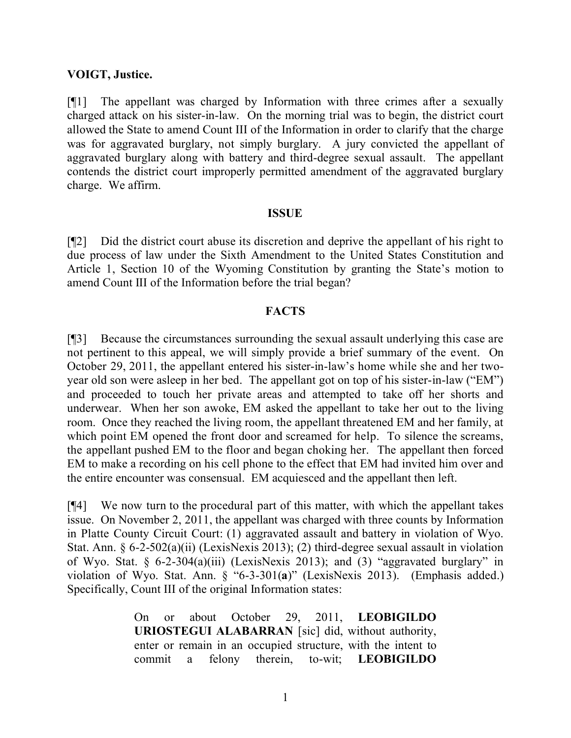#### **VOIGT, Justice.**

[¶1] The appellant was charged by Information with three crimes after a sexually charged attack on his sister-in-law. On the morning trial was to begin, the district court allowed the State to amend Count III of the Information in order to clarify that the charge was for aggravated burglary, not simply burglary. A jury convicted the appellant of aggravated burglary along with battery and third-degree sexual assault. The appellant contends the district court improperly permitted amendment of the aggravated burglary charge. We affirm.

#### **ISSUE**

[¶2] Did the district court abuse its discretion and deprive the appellant of his right to due process of law under the Sixth Amendment to the United States Constitution and Article 1, Section 10 of the Wyoming Constitution by granting the State's motion to amend Count III of the Information before the trial began?

#### **FACTS**

[¶3] Because the circumstances surrounding the sexual assault underlying this case are not pertinent to this appeal, we will simply provide a brief summary of the event. On October 29, 2011, the appellant entered his sister-in-law's home while she and her twoyear old son were asleep in her bed. The appellant got on top of his sister-in-law ("EM") and proceeded to touch her private areas and attempted to take off her shorts and underwear. When her son awoke, EM asked the appellant to take her out to the living room. Once they reached the living room, the appellant threatened EM and her family, at which point EM opened the front door and screamed for help. To silence the screams, the appellant pushed EM to the floor and began choking her. The appellant then forced EM to make a recording on his cell phone to the effect that EM had invited him over and the entire encounter was consensual. EM acquiesced and the appellant then left.

[¶4] We now turn to the procedural part of this matter, with which the appellant takes issue. On November 2, 2011, the appellant was charged with three counts by Information in Platte County Circuit Court: (1) aggravated assault and battery in violation of Wyo. Stat. Ann. § 6-2-502(a)(ii) (LexisNexis 2013); (2) third-degree sexual assault in violation of Wyo. Stat. § 6-2-304(a)(iii) (LexisNexis 2013); and (3) "aggravated burglary" in violation of Wyo. Stat. Ann. § "6-3-301(**a**)" (LexisNexis 2013). (Emphasis added.) Specifically, Count III of the original Information states:

> On or about October 29, 2011, **LEOBIGILDO URIOSTEGUI ALABARRAN** [sic] did, without authority, enter or remain in an occupied structure, with the intent to commit a felony therein, to-wit; **LEOBIGILDO**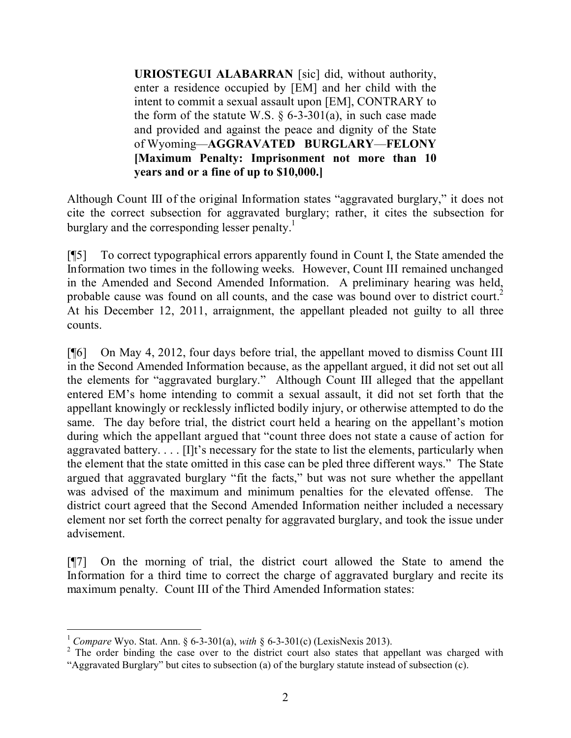**URIOSTEGUI ALABARRAN** [sic] did, without authority, enter a residence occupied by [EM] and her child with the intent to commit a sexual assault upon [EM], CONTRARY to the form of the statute W.S.  $\S$  6-3-301(a), in such case made and provided and against the peace and dignity of the State of Wyoming—**AGGRAVATED BURGLARY**—**FELONY [Maximum Penalty: Imprisonment not more than 10 years and or a fine of up to \$10,000.]**

Although Count III of the original Information states "aggravated burglary," it does not cite the correct subsection for aggravated burglary; rather, it cites the subsection for burglary and the corresponding lesser penalty.<sup>1</sup>

[¶5] To correct typographical errors apparently found in Count I, the State amended the Information two times in the following weeks. However, Count III remained unchanged in the Amended and Second Amended Information. A preliminary hearing was held, probable cause was found on all counts, and the case was bound over to district court.<sup>2</sup> At his December 12, 2011, arraignment, the appellant pleaded not guilty to all three counts.

[¶6] On May 4, 2012, four days before trial, the appellant moved to dismiss Count III in the Second Amended Information because, as the appellant argued, it did not set out all the elements for "aggravated burglary." Although Count III alleged that the appellant entered EM's home intending to commit a sexual assault, it did not set forth that the appellant knowingly or recklessly inflicted bodily injury, or otherwise attempted to do the same. The day before trial, the district court held a hearing on the appellant's motion during which the appellant argued that "count three does not state a cause of action for aggravated battery. . . . [I]t's necessary for the state to list the elements, particularly when the element that the state omitted in this case can be pled three different ways." The State argued that aggravated burglary "fit the facts," but was not sure whether the appellant was advised of the maximum and minimum penalties for the elevated offense. The district court agreed that the Second Amended Information neither included a necessary element nor set forth the correct penalty for aggravated burglary, and took the issue under advisement.

[¶7] On the morning of trial, the district court allowed the State to amend the Information for a third time to correct the charge of aggravated burglary and recite its maximum penalty. Count III of the Third Amended Information states:

 $\overline{a}$ <sup>1</sup> *Compare* Wyo. Stat. Ann. § 6-3-301(a), *with* § 6-3-301(c) (LexisNexis 2013).

<sup>&</sup>lt;sup>2</sup> The order binding the case over to the district court also states that appellant was charged with "Aggravated Burglary" but cites to subsection (a) of the burglary statute instead of subsection (c).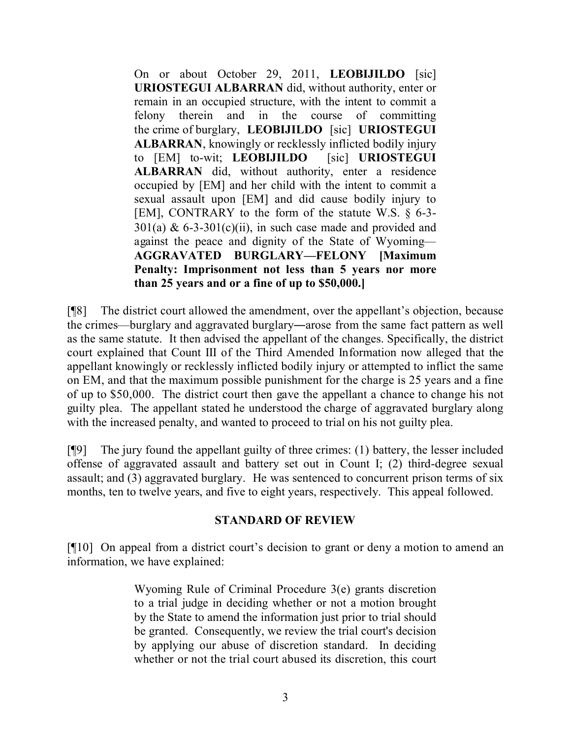On or about October 29, 2011, **LEOBIJILDO** [sic] **URIOSTEGUI ALBARRAN** did, without authority, enter or remain in an occupied structure, with the intent to commit a felony therein and in the course of committing the crime of burglary, **LEOBIJILDO** [sic] **URIOSTEGUI ALBARRAN**, knowingly or recklessly inflicted bodily injury to [EM] to-wit; **LEOBIJILDO** [sic] **URIOSTEGUI ALBARRAN** did, without authority, enter a residence occupied by [EM] and her child with the intent to commit a sexual assault upon [EM] and did cause bodily injury to [EM], CONTRARY to the form of the statute W.S. § 6-3-  $301(a)$  & 6-3-301(c)(ii), in such case made and provided and against the peace and dignity of the State of Wyoming— **AGGRAVATED BURGLARY—FELONY [Maximum Penalty: Imprisonment not less than 5 years nor more than 25 years and or a fine of up to \$50,000.]**

[¶8] The district court allowed the amendment, over the appellant's objection, because the crimes—burglary and aggravated burglary―arose from the same fact pattern as well as the same statute. It then advised the appellant of the changes. Specifically, the district court explained that Count III of the Third Amended Information now alleged that the appellant knowingly or recklessly inflicted bodily injury or attempted to inflict the same on EM, and that the maximum possible punishment for the charge is 25 years and a fine of up to \$50,000. The district court then gave the appellant a chance to change his not guilty plea. The appellant stated he understood the charge of aggravated burglary along with the increased penalty, and wanted to proceed to trial on his not guilty plea.

[¶9] The jury found the appellant guilty of three crimes: (1) battery, the lesser included offense of aggravated assault and battery set out in Count I; (2) third-degree sexual assault; and (3) aggravated burglary. He was sentenced to concurrent prison terms of six months, ten to twelve years, and five to eight years, respectively. This appeal followed.

## **STANDARD OF REVIEW**

[¶10] On appeal from a district court's decision to grant or deny a motion to amend an information, we have explained:

> Wyoming Rule of Criminal Procedure 3(e) grants discretion to a trial judge in deciding whether or not a motion brought by the State to amend the information just prior to trial should be granted. Consequently, we review the trial court's decision by applying our abuse of discretion standard. In deciding whether or not the trial court abused its discretion, this court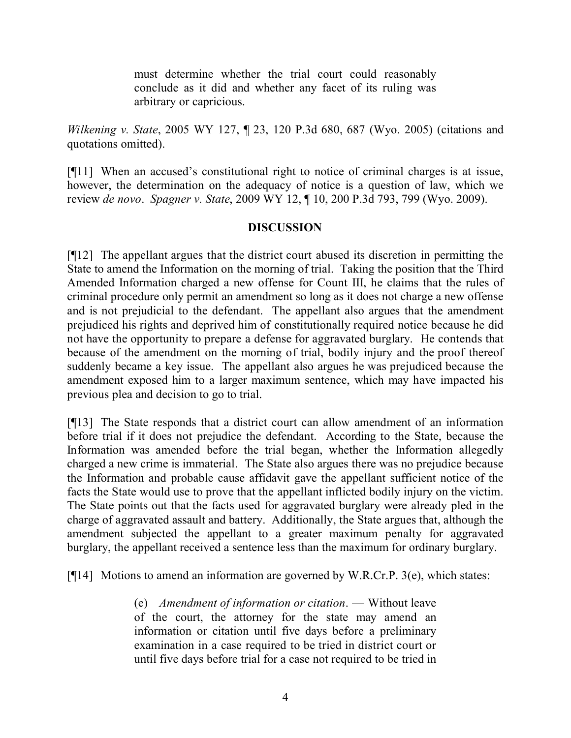must determine whether the trial court could reasonably conclude as it did and whether any facet of its ruling was arbitrary or capricious.

*Wilkening v. State*, 2005 WY 127, ¶ 23, 120 P.3d 680, 687 (Wyo. 2005) (citations and quotations omitted).

[¶11] When an accused's constitutional right to notice of criminal charges is at issue, however, the determination on the adequacy of notice is a question of law, which we review *de novo*. *Spagner v. State*, 2009 WY 12, ¶ 10, 200 P.3d 793, 799 (Wyo. 2009).

## **DISCUSSION**

[¶12] The appellant argues that the district court abused its discretion in permitting the State to amend the Information on the morning of trial. Taking the position that the Third Amended Information charged a new offense for Count III, he claims that the rules of criminal procedure only permit an amendment so long as it does not charge a new offense and is not prejudicial to the defendant. The appellant also argues that the amendment prejudiced his rights and deprived him of constitutionally required notice because he did not have the opportunity to prepare a defense for aggravated burglary. He contends that because of the amendment on the morning of trial, bodily injury and the proof thereof suddenly became a key issue. The appellant also argues he was prejudiced because the amendment exposed him to a larger maximum sentence, which may have impacted his previous plea and decision to go to trial.

[¶13] The State responds that a district court can allow amendment of an information before trial if it does not prejudice the defendant. According to the State, because the Information was amended before the trial began, whether the Information allegedly charged a new crime is immaterial. The State also argues there was no prejudice because the Information and probable cause affidavit gave the appellant sufficient notice of the facts the State would use to prove that the appellant inflicted bodily injury on the victim. The State points out that the facts used for aggravated burglary were already pled in the charge of aggravated assault and battery. Additionally, the State argues that, although the amendment subjected the appellant to a greater maximum penalty for aggravated burglary, the appellant received a sentence less than the maximum for ordinary burglary.

[ $[14]$ ] Motions to amend an information are governed by W.R.Cr.P. 3(e), which states:

(e) *Amendment of information or citation*. — Without leave of the court, the attorney for the state may amend an information or citation until five days before a preliminary examination in a case required to be tried in district court or until five days before trial for a case not required to be tried in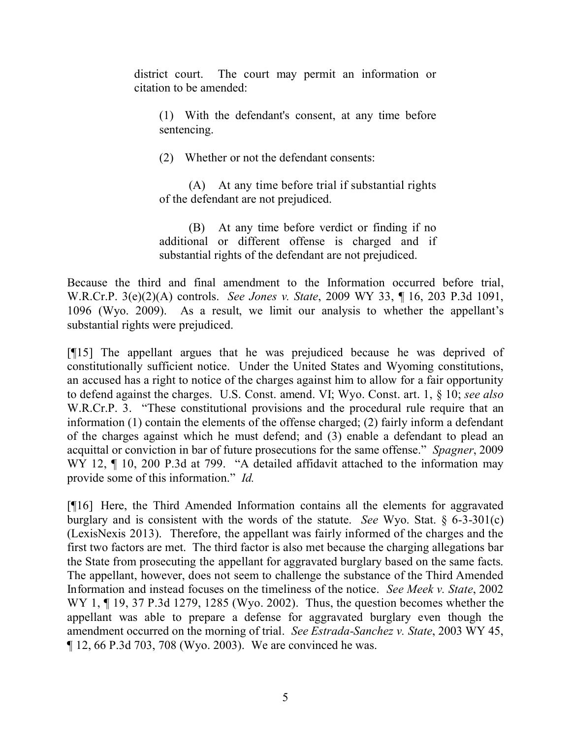district court. The court may permit an information or citation to be amended:

(1) With the defendant's consent, at any time before sentencing.

(2) Whether or not the defendant consents:

(A) At any time before trial if substantial rights of the defendant are not prejudiced.

(B) At any time before verdict or finding if no additional or different offense is charged and if substantial rights of the defendant are not prejudiced.

Because the third and final amendment to the Information occurred before trial, W.R.Cr.P. 3(e)(2)(A) controls. *See Jones v. State*, 2009 WY 33, ¶ 16, 203 P.3d 1091, 1096 (Wyo. 2009). As a result, we limit our analysis to whether the appellant's substantial rights were prejudiced.

[¶15] The appellant argues that he was prejudiced because he was deprived of constitutionally sufficient notice. Under the United States and Wyoming constitutions, an accused has a right to notice of the charges against him to allow for a fair opportunity to defend against the charges. U.S. Const. amend. VI; Wyo. Const. art. 1, § 10; *see also* W.R.Cr.P. 3. "These constitutional provisions and the procedural rule require that an information (1) contain the elements of the offense charged; (2) fairly inform a defendant of the charges against which he must defend; and (3) enable a defendant to plead an acquittal or conviction in bar of future prosecutions for the same offense." *Spagner*, 2009 WY 12, ¶ 10, 200 P.3d at 799. "A detailed affidavit attached to the information may provide some of this information." *Id.*

[¶16] Here, the Third Amended Information contains all the elements for aggravated burglary and is consistent with the words of the statute. *See* Wyo. Stat. § 6-3-301(c) (LexisNexis 2013). Therefore, the appellant was fairly informed of the charges and the first two factors are met. The third factor is also met because the charging allegations bar the State from prosecuting the appellant for aggravated burglary based on the same facts. The appellant, however, does not seem to challenge the substance of the Third Amended Information and instead focuses on the timeliness of the notice. *See Meek v. State*, 2002 WY 1, ¶ 19, 37 P.3d 1279, 1285 (Wyo. 2002). Thus, the question becomes whether the appellant was able to prepare a defense for aggravated burglary even though the amendment occurred on the morning of trial. *See Estrada-Sanchez v. State*, 2003 WY 45, ¶ 12, 66 P.3d 703, 708 (Wyo. 2003). We are convinced he was.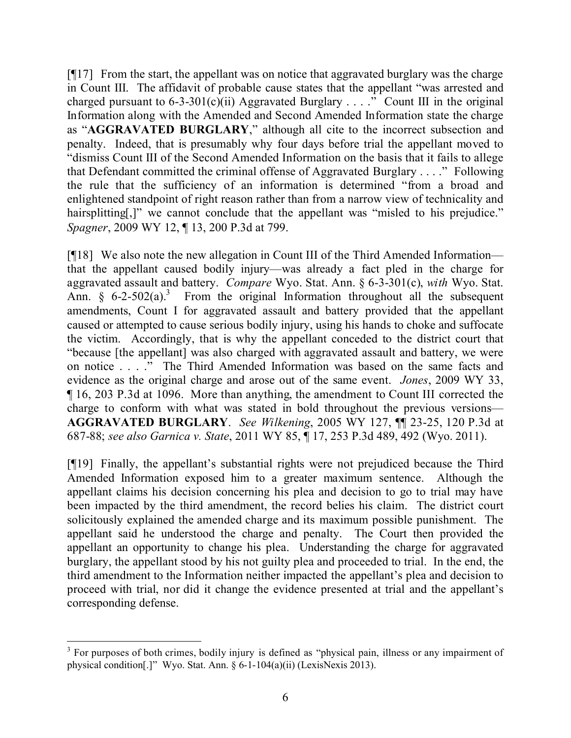[¶17] From the start, the appellant was on notice that aggravated burglary was the charge in Count III. The affidavit of probable cause states that the appellant "was arrested and charged pursuant to 6-3-301(c)(ii) Aggravated Burglary . . . ." Count III in the original Information along with the Amended and Second Amended Information state the charge as "**AGGRAVATED BURGLARY**," although all cite to the incorrect subsection and penalty. Indeed, that is presumably why four days before trial the appellant moved to "dismiss Count III of the Second Amended Information on the basis that it fails to allege that Defendant committed the criminal offense of Aggravated Burglary . . . ." Following the rule that the sufficiency of an information is determined "from a broad and enlightened standpoint of right reason rather than from a narrow view of technicality and hairsplitting[,]" we cannot conclude that the appellant was "misled to his prejudice." *Spagner*, 2009 WY 12, ¶ 13, 200 P.3d at 799.

[¶18] We also note the new allegation in Count III of the Third Amended Information that the appellant caused bodily injury—was already a fact pled in the charge for aggravated assault and battery. *Compare* Wyo. Stat. Ann. § 6-3-301(c), *with* Wyo. Stat. Ann.  $\frac{6}{5}$  6-2-502(a).<sup>3</sup> From the original Information throughout all the subsequent amendments, Count I for aggravated assault and battery provided that the appellant caused or attempted to cause serious bodily injury, using his hands to choke and suffocate the victim. Accordingly, that is why the appellant conceded to the district court that "because [the appellant] was also charged with aggravated assault and battery, we were on notice . . . ." The Third Amended Information was based on the same facts and evidence as the original charge and arose out of the same event. *Jones*, 2009 WY 33, ¶ 16, 203 P.3d at 1096. More than anything, the amendment to Count III corrected the charge to conform with what was stated in bold throughout the previous versions— **AGGRAVATED BURGLARY**. *See Wilkening*, 2005 WY 127, ¶¶ 23-25, 120 P.3d at 687-88; *see also Garnica v. State*, 2011 WY 85, ¶ 17, 253 P.3d 489, 492 (Wyo. 2011).

[¶19] Finally, the appellant's substantial rights were not prejudiced because the Third Amended Information exposed him to a greater maximum sentence. Although the appellant claims his decision concerning his plea and decision to go to trial may have been impacted by the third amendment, the record belies his claim. The district court solicitously explained the amended charge and its maximum possible punishment. The appellant said he understood the charge and penalty. The Court then provided the appellant an opportunity to change his plea. Understanding the charge for aggravated burglary, the appellant stood by his not guilty plea and proceeded to trial. In the end, the third amendment to the Information neither impacted the appellant's plea and decision to proceed with trial, nor did it change the evidence presented at trial and the appellant's corresponding defense.

 $\overline{a}$ 

<sup>&</sup>lt;sup>3</sup> For purposes of both crimes, bodily injury is defined as "physical pain, illness or any impairment of physical condition[.]" Wyo. Stat. Ann. § 6-1-104(a)(ii) (LexisNexis 2013).